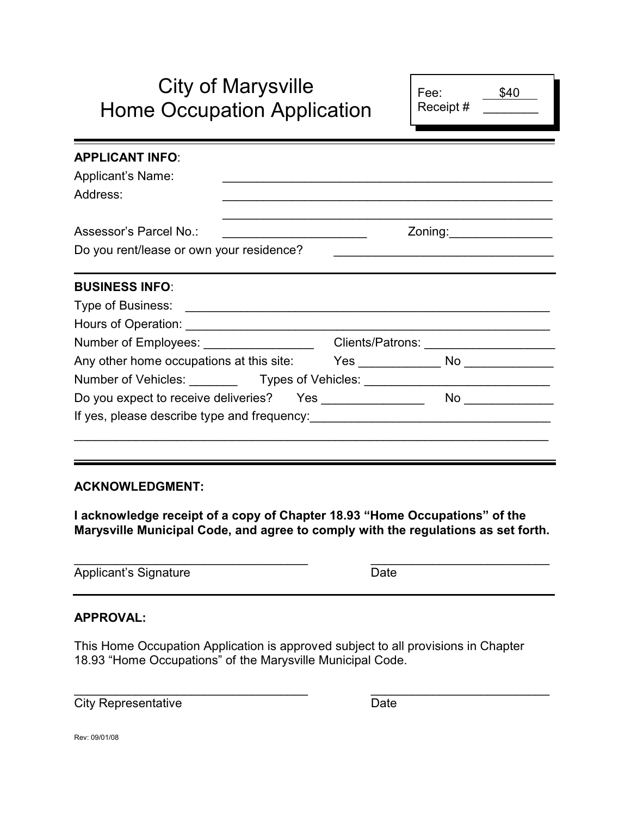# City of Marysville Home Occupation Application

| Fee:<br>Receipt# | \$40 |  |
|------------------|------|--|
|                  |      |  |

|                                          |                                          | Zoning: __________________                                                         |
|------------------------------------------|------------------------------------------|------------------------------------------------------------------------------------|
|                                          |                                          | <u> 1980 - Johann Barn, fransk politik (f. 1980)</u>                               |
|                                          |                                          |                                                                                    |
|                                          |                                          |                                                                                    |
|                                          |                                          |                                                                                    |
|                                          |                                          |                                                                                    |
|                                          |                                          |                                                                                    |
|                                          |                                          | Yes _________________ No ______________                                            |
|                                          |                                          |                                                                                    |
| Do you expect to receive deliveries? Yes |                                          |                                                                                    |
|                                          |                                          |                                                                                    |
|                                          |                                          |                                                                                    |
|                                          | Do you rent/lease or own your residence? | Number of Employees: _________________<br>Any other home occupations at this site: |

#### **ACKNOWLEDGMENT:**

**I acknowledge receipt of a copy of Chapter 18.93 "Home Occupations" of the Marysville Municipal Code, and agree to comply with the regulations as set forth.**

 $\overline{\phantom{a}}$  , and the contract of the contract of the contract of the contract of the contract of the contract of the contract of the contract of the contract of the contract of the contract of the contract of the contrac

Applicant's Signature Date

#### **APPROVAL:**

This Home Occupation Application is approved subject to all provisions in Chapter 18.93 "Home Occupations" of the Marysville Municipal Code.

 $\overline{\phantom{a}}$  , and the contract of the contract of the contract of the contract of the contract of the contract of the contract of the contract of the contract of the contract of the contract of the contract of the contrac City Representative Date

Rev: 09/01/08